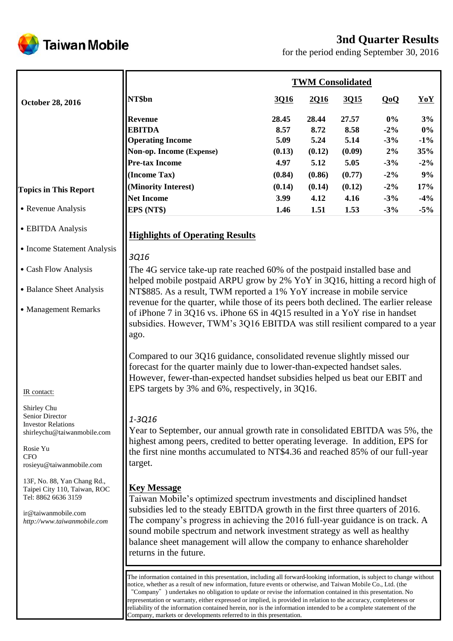# **3nd Quarter Results**



for the period ending September 30, 2016

|                                                                                                                                                  | <b>TWM Consolidated</b>                                                                                                                                                                                                                                                                                                                                                                                                                                                                                                                                                                                                                                                 |                       |                       |                       |                          |                       |
|--------------------------------------------------------------------------------------------------------------------------------------------------|-------------------------------------------------------------------------------------------------------------------------------------------------------------------------------------------------------------------------------------------------------------------------------------------------------------------------------------------------------------------------------------------------------------------------------------------------------------------------------------------------------------------------------------------------------------------------------------------------------------------------------------------------------------------------|-----------------------|-----------------------|-----------------------|--------------------------|-----------------------|
| <b>October 28, 2016</b>                                                                                                                          | NT\$bn                                                                                                                                                                                                                                                                                                                                                                                                                                                                                                                                                                                                                                                                  | 3Q16                  | 2Q16                  | 3015                  | QoQ                      | YoY                   |
|                                                                                                                                                  | <b>Revenue</b><br><b>EBITDA</b><br><b>Operating Income</b>                                                                                                                                                                                                                                                                                                                                                                                                                                                                                                                                                                                                              | 28.45<br>8.57<br>5.09 | 28.44<br>8.72<br>5.24 | 27.57<br>8.58<br>5.14 | $0\%$<br>$-2\%$<br>$-3%$ | 3%<br>$0\%$<br>$-1\%$ |
|                                                                                                                                                  | Non-op. Income (Expense)                                                                                                                                                                                                                                                                                                                                                                                                                                                                                                                                                                                                                                                | (0.13)                | (0.12)                | (0.09)                | 2%                       | 35%                   |
|                                                                                                                                                  | <b>Pre-tax Income</b>                                                                                                                                                                                                                                                                                                                                                                                                                                                                                                                                                                                                                                                   | 4.97                  | 5.12                  | 5.05                  | $-3%$                    | $-2\%$                |
|                                                                                                                                                  | (Income Tax)                                                                                                                                                                                                                                                                                                                                                                                                                                                                                                                                                                                                                                                            | (0.84)                | (0.86)                | (0.77)                | $-2\%$                   | 9%                    |
| <b>Topics in This Report</b>                                                                                                                     | (Minority Interest)                                                                                                                                                                                                                                                                                                                                                                                                                                                                                                                                                                                                                                                     | (0.14)                | (0.14)                | (0.12)                | $-2\%$                   | 17%                   |
|                                                                                                                                                  | <b>Net Income</b>                                                                                                                                                                                                                                                                                                                                                                                                                                                                                                                                                                                                                                                       | 3.99                  | 4.12                  | 4.16                  | $-3%$                    | $-4%$                 |
| • Revenue Analysis                                                                                                                               | EPS (NT\$)                                                                                                                                                                                                                                                                                                                                                                                                                                                                                                                                                                                                                                                              | 1.46                  | 1.51                  | 1.53                  | $-3%$                    | $-5%$                 |
| • EBITDA Analysis                                                                                                                                | <b>Highlights of Operating Results</b>                                                                                                                                                                                                                                                                                                                                                                                                                                                                                                                                                                                                                                  |                       |                       |                       |                          |                       |
| • Income Statement Analysis                                                                                                                      | 3Q16                                                                                                                                                                                                                                                                                                                                                                                                                                                                                                                                                                                                                                                                    |                       |                       |                       |                          |                       |
| • Cash Flow Analysis                                                                                                                             | The 4G service take-up rate reached 60% of the postpaid installed base and<br>helped mobile postpaid ARPU grow by 2% YoY in 3Q16, hitting a record high of                                                                                                                                                                                                                                                                                                                                                                                                                                                                                                              |                       |                       |                       |                          |                       |
| • Balance Sheet Analysis                                                                                                                         | NT\$885. As a result, TWM reported a 1% YoY increase in mobile service                                                                                                                                                                                                                                                                                                                                                                                                                                                                                                                                                                                                  |                       |                       |                       |                          |                       |
| • Management Remarks                                                                                                                             | revenue for the quarter, while those of its peers both declined. The earlier release<br>of iPhone 7 in 3Q16 vs. iPhone 6S in 4Q15 resulted in a YoY rise in handset<br>subsidies. However, TWM's 3Q16 EBITDA was still resilient compared to a year<br>ago.                                                                                                                                                                                                                                                                                                                                                                                                             |                       |                       |                       |                          |                       |
| IR contact:                                                                                                                                      | Compared to our 3Q16 guidance, consolidated revenue slightly missed our<br>forecast for the quarter mainly due to lower-than-expected handset sales.<br>However, fewer-than-expected handset subsidies helped us beat our EBIT and<br>EPS targets by 3% and 6%, respectively, in 3Q16.                                                                                                                                                                                                                                                                                                                                                                                  |                       |                       |                       |                          |                       |
| Shirley Chu<br>Senior Director<br><b>Investor Relations</b><br>shirleychu@taiwanmobile.com<br>Rosie Yu<br><b>CFO</b><br>rosieyu@taiwanmobile.com | 1-3Q16<br>Year to September, our annual growth rate in consolidated EBITDA was 5%, the<br>highest among peers, credited to better operating leverage. In addition, EPS for<br>the first nine months accumulated to NT\$4.36 and reached 85% of our full-year<br>target.                                                                                                                                                                                                                                                                                                                                                                                                 |                       |                       |                       |                          |                       |
| 13F, No. 88, Yan Chang Rd.,<br>Taipei City 110, Taiwan, ROC<br>Tel: 8862 6636 3159<br>ir@taiwanmobile.com<br>http://www.taiwanmobile.com         | <b>Key Message</b><br>Taiwan Mobile's optimized spectrum investments and disciplined handset<br>subsidies led to the steady EBITDA growth in the first three quarters of 2016.<br>The company's progress in achieving the 2016 full-year guidance is on track. A<br>sound mobile spectrum and network investment strategy as well as healthy<br>balance sheet management will allow the company to enhance shareholder<br>returns in the future.                                                                                                                                                                                                                        |                       |                       |                       |                          |                       |
|                                                                                                                                                  | The information contained in this presentation, including all forward-looking information, is subject to change without<br>notice, whether as a result of new information, future events or otherwise, and Taiwan Mobile Co., Ltd. (the<br>"Company" ) undertakes no obligation to update or revise the information contained in this presentation. No<br>representation or warranty, either expressed or implied, is provided in relation to the accuracy, completeness or<br>reliability of the information contained herein, nor is the information intended to be a complete statement of the<br>Company, markets or developments referred to in this presentation. |                       |                       |                       |                          |                       |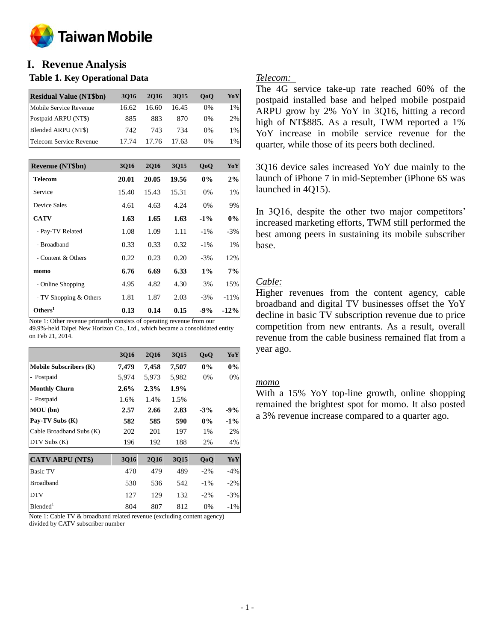

#### **o I. Revenue Analysis**

## **Table 1. Key Operational Data**

| <b>Residual Value (NT\$bn)</b> | 3016  | 2016  | 3015  | 0 <sub>0</sub> | YoY |
|--------------------------------|-------|-------|-------|----------------|-----|
| Mobile Service Revenue         | 16.62 | 16.60 | 16.45 | $0\%$          | 1%  |
| Postpaid ARPU (NT\$)           | 885   | 883   | 870   | $0\%$          | 2%  |
| Blended ARPU (NT\$)            | 742.  | 743   | 734   | $0\%$          | 1%  |
| Telecom Service Revenue        |       | 17.76 | 17.63 | $0\%$          | 1%  |

| <b>Revenue (NT\$bn)</b> | <b>3Q16</b> | <b>2Q16</b> | 3Q15  | QoQ    | YoY     |
|-------------------------|-------------|-------------|-------|--------|---------|
| Telecom                 | 20.01       | 20.05       | 19.56 | $0\%$  | 2%      |
| Service                 | 15.40       | 15.43       | 15.31 | 0%     | 1%      |
| Device Sales            | 4.61        | 4.63        | 4.24  | 0%     | 9%      |
| <b>CATV</b>             | 1.63        | 1.65        | 1.63  | $-1\%$ | 0%      |
| - Pay-TV Related        | 1.08        | 1.09        | 1.11  | $-1\%$ | $-3%$   |
| - Broadband             | 0.33        | 0.33        | 0.32  | $-1\%$ | 1%      |
| - Content & Others      | 0.22        | 0.23        | 0.20  | $-3\%$ | 12%     |
| momo                    | 6.76        | 6.69        | 6.33  | $1\%$  | 7%      |
| - Online Shopping       | 4.95        | 4.82        | 4.30  | 3%     | 15%     |
| - TV Shopping & Others  | 1.81        | 1.87        | 2.03  | $-3\%$ | $-11\%$ |
| Others <sup>1</sup>     | 0.13        | 0.14        | 0.15  | $-9%$  | $-12%$  |

Note 1: Other revenue primarily consists of operating revenue from our 49.9%-held Taipei New Horizon Co., Ltd., which became a consolidated entity on Feb 21, 2014.

|                               | <b>3Q16</b> | <b>2Q16</b> | 3Q15    | QoQ    | YoY    |
|-------------------------------|-------------|-------------|---------|--------|--------|
| <b>Mobile Subscribers (K)</b> | 7,479       | 7,458       | 7,507   | $0\%$  | 0%     |
| - Postpaid                    | 5,974       | 5,973       | 5,982   | 0%     | 0%     |
| <b>Monthly Churn</b>          | $2.6\%$     | 2.3%        | $1.9\%$ |        |        |
| - Postpaid                    | 1.6%        | 1.4%        | 1.5%    |        |        |
| MOU(bn)                       | 2.57        | 2.66        | 2.83    | $-3%$  | $-9%$  |
| Pay-TV Subs (K)               | 582         | 585         | 590     | $0\%$  | $-1\%$ |
| Cable Broadband Subs (K)      | 202         | 201         | 197     | 1%     | 2%     |
| DTV Subs (K)                  | 196         | 192         | 188     | 2%     | 4%     |
|                               |             |             |         |        |        |
| <b>CATV ARPU (NT\$)</b>       | <b>3Q16</b> | <b>2Q16</b> | 3Q15    | QoQ    | YoY    |
| <b>Basic TV</b>               | 470         | 479         | 489     | $-2\%$ | $-4\%$ |
| <b>Broadband</b>              | 530         | 536         | 542     | $-1\%$ | $-2\%$ |
| <b>DTV</b>                    | 127         | 129         | 132     | $-2\%$ | $-3\%$ |
| Blended <sup>1</sup>          | 804         | 807         | 812     | 0%     | $-1\%$ |

Note 1: Cable TV & broadband related revenue (excluding content agency) divided by CATV subscriber number

## *Telecom:*

The 4G service take-up rate reached 60% of the postpaid installed base and helped mobile postpaid ARPU grow by 2% YoY in 3Q16, hitting a record high of NT\$885. As a result, TWM reported a 1% YoY increase in mobile service revenue for the quarter, while those of its peers both declined.

3Q16 device sales increased YoY due mainly to the launch of iPhone 7 in mid-September (iPhone 6S was launched in 4Q15).

In 3Q16, despite the other two major competitors' increased marketing efforts, TWM still performed the best among peers in sustaining its mobile subscriber base.

# *Cable:*

Higher revenues from the content agency, cable broadband and digital TV businesses offset the YoY decline in basic TV subscription revenue due to price competition from new entrants. As a result, overall revenue from the cable business remained flat from a year ago.

### *momo*

With a 15% YoY top-line growth, online shopping remained the brightest spot for momo. It also posted a 3% revenue increase compared to a quarter ago.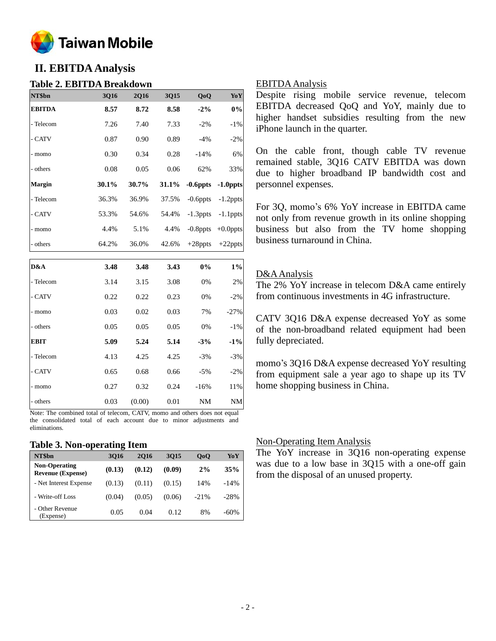

# **II. EBITDA Analysis**

## **Table 2. EBITDA Breakdown**

| NT\$bn        | <b>3Q16</b> | <b>2Q16</b> | 3Q15  | QoQ         | YoY         |
|---------------|-------------|-------------|-------|-------------|-------------|
| <b>EBITDA</b> | 8.57        | 8.72        | 8.58  | $-2\%$      | $0\%$       |
| - Telecom     | 7.26        | 7.40        | 7.33  | $-2\%$      | $-1\%$      |
| - CATV        | 0.87        | 0.90        | 0.89  | $-4\%$      | $-2\%$      |
| - momo        | 0.30        | 0.34        | 0.28  | $-14%$      | 6%          |
| - others      | 0.08        | 0.05        | 0.06  | 62%         | 33%         |
| <b>Margin</b> | 30.1%       | 30.7%       | 31.1% | $-0.6$ ppts | $-1.0$ ppts |
| - Telecom     | 36.3%       | 36.9%       | 37.5% | $-0.6$ ppts | $-1.2$ ppts |
| - CATV        | 53.3%       | 54.6%       | 54.4% | $-1.3$ ppts | $-1.1$ ppts |
| - momo        | 4.4%        | 5.1%        | 4.4%  | $-0.8$ ppts | $+0.0$ ppts |
| - others      | 64.2%       | 36.0%       | 42.6% | $+28$ ppts  | $+22$ ppts  |
| D&A           | 3.48        | 3.48        | 3.43  | 0%          | $1\%$       |

| D&A         | 3.48          | 3.48   | 3.43 | $0\%$     | $1\%$     |
|-------------|---------------|--------|------|-----------|-----------|
| - Telecom   | 3.14          | 3.15   | 3.08 | 0%        | 2%        |
| - CATV      | 0.22          | 0.22   | 0.23 | 0%        | $-2%$     |
| - momo      | 0.03          | 0.02   | 0.03 | 7%        | $-27%$    |
| - others    | 0.05          | 0.05   | 0.05 | 0%        | $-1\%$    |
| <b>EBIT</b> | 5.09          | 5.24   | 5.14 | $-3%$     | $-1\%$    |
| - Telecom   | 4.13          | 4.25   | 4.25 | $-3%$     | $-3%$     |
| - CATV      | 0.65          | 0.68   | 0.66 | $-5%$     | $-2%$     |
| - momo      | 0.27          | 0.32   | 0.24 | $-16%$    | 11%       |
| - others    | 0.03          | (0.00) | 0.01 | <b>NM</b> | <b>NM</b> |
|             | $\sim$ $\sim$ |        |      |           |           |

Note: The combined total of telecom, CATV, momo and others does not equal the consolidated total of each account due to minor adjustments and eliminations.

### **Table 3. Non-operating Item**

| NT\$bn                                           | 3016   | <b>2016</b> | 3015   | 0 <sub>0</sub> | YoY    |
|--------------------------------------------------|--------|-------------|--------|----------------|--------|
| <b>Non-Operating</b><br><b>Revenue (Expense)</b> | (0.13) | (0.12)      | (0.09) | 2%             | 35%    |
| - Net Interest Expense                           | (0.13) | (0.11)      | (0.15) | 14%            | $-14%$ |
| - Write-off Loss                                 | (0.04) | (0.05)      | (0.06) | $-21%$         | $-28%$ |
| - Other Revenue<br>(Expense)                     | 0.05   | 0.04        | 0.12   | 8%             | $-60%$ |

### EBITDA Analysis

Despite rising mobile service revenue, telecom EBITDA decreased QoQ and YoY, mainly due to higher handset subsidies resulting from the new iPhone launch in the quarter.

On the cable front, though cable TV revenue remained stable, 3Q16 CATV EBITDA was down due to higher broadband IP bandwidth cost and personnel expenses.

For 3Q, momo's 6% YoY increase in EBITDA came not only from revenue growth in its online shopping business but also from the TV home shopping business turnaround in China.

# D&A Analysis

The 2% YoY increase in telecom D&A came entirely from continuous investments in 4G infrastructure.

CATV 3Q16 D&A expense decreased YoY as some of the non-broadband related equipment had been fully depreciated.

momo's 3Q16 D&A expense decreased YoY resulting from equipment sale a year ago to shape up its TV home shopping business in China.

### Non-Operating Item Analysis

The YoY increase in 3Q16 non-operating expense was due to a low base in 3Q15 with a one-off gain from the disposal of an unused property.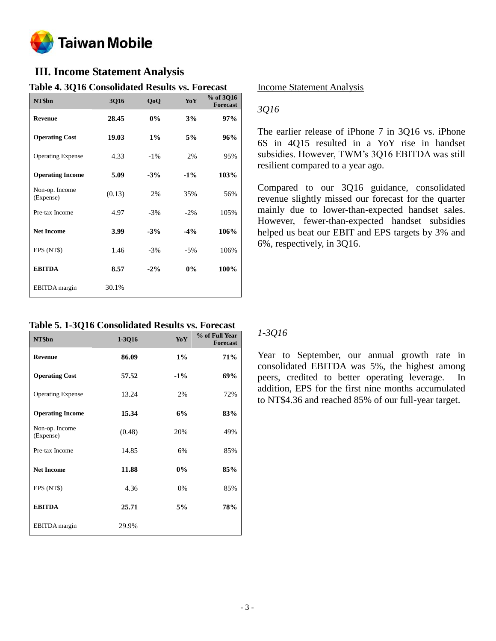

# **III. Income Statement Analysis**

## **Table 4. 3Q16 Consolidated Results vs. Forecast**

| NT\$bn                      | 3Q16   | QoQ    | YoY    | % of 3Q16<br><b>Forecast</b> |
|-----------------------------|--------|--------|--------|------------------------------|
| <b>Revenue</b>              | 28.45  | 0%     | 3%     | 97%                          |
| <b>Operating Cost</b>       | 19.03  | $1\%$  | 5%     | 96%                          |
| <b>Operating Expense</b>    | 4.33   | $-1\%$ | 2%     | 95%                          |
| <b>Operating Income</b>     | 5.09   | $-3%$  | $-1\%$ | 103%                         |
| Non-op. Income<br>(Expense) | (0.13) | 2%     | 35%    | 56%                          |
| Pre-tax Income              | 4.97   | $-3%$  | $-2%$  | 105%                         |
| <b>Net Income</b>           | 3.99   | $-3%$  | $-4%$  | 106%                         |
| EPS (NT\$)                  | 1.46   | $-3%$  | $-5%$  | 106%                         |
| <b>EBITDA</b>               | 8.57   | $-2\%$ | 0%     | 100%                         |
| <b>EBITDA</b> margin        | 30.1%  |        |        |                              |

**Table 5. 1-3Q16 Consolidated Results vs. Forecast**

| NT\$bn                      | $1-3Q16$ | YoY    | % of Full Year<br><b>Forecast</b> |
|-----------------------------|----------|--------|-----------------------------------|
| <b>Revenue</b>              | 86.09    | $1\%$  | 71%                               |
| <b>Operating Cost</b>       | 57.52    | $-1\%$ | 69%                               |
| <b>Operating Expense</b>    | 13.24    | 2%     | 72%                               |
| <b>Operating Income</b>     | 15.34    | 6%     | 83%                               |
| Non-op. Income<br>(Expense) | (0.48)   | 20%    | 49%                               |
| Pre-tax Income              | 14.85    | 6%     | 85%                               |
| <b>Net Income</b>           | 11.88    | 0%     | 85%                               |
| EPS (NT\$)                  | 4.36     | 0%     | 85%                               |
| <b>EBITDA</b>               | 25.71    | 5%     | 78%                               |
| <b>EBITDA</b> margin        | 29.9%    |        |                                   |

### Income Statement Analysis

# *3Q16*

The earlier release of iPhone 7 in 3Q16 vs. iPhone 6S in 4Q15 resulted in a YoY rise in handset subsidies. However, TWM's 3Q16 EBITDA was still resilient compared to a year ago.

Compared to our 3Q16 guidance, consolidated revenue slightly missed our forecast for the quarter mainly due to lower-than-expected handset sales. However, fewer-than-expected handset subsidies helped us beat our EBIT and EPS targets by 3% and 6%, respectively, in 3Q16.

## *1-3Q16*

Year to September, our annual growth rate in consolidated EBITDA was 5%, the highest among peers, credited to better operating leverage. In addition, EPS for the first nine months accumulated to NT\$4.36 and reached 85% of our full-year target.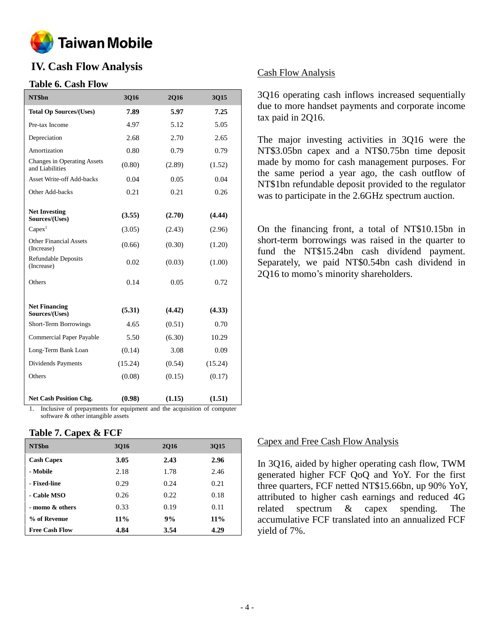

# **IV. Cash Flow Analysis**

## **Table 6. Cash Flow**

| NT\$bn                                         | <b>3Q16</b> | <b>2Q16</b> | 3Q15    |
|------------------------------------------------|-------------|-------------|---------|
| <b>Total Op Sources/(Uses)</b>                 | 7.89        | 5.97        | 7.25    |
| Pre-tax Income                                 | 4.97        | 5.12        | 5.05    |
| Depreciation                                   | 2.68        | 2.70        | 2.65    |
| Amortization                                   | 0.80        | 0.79        | 0.79    |
| Changes in Operating Assets<br>and Liabilities | (0.80)      | (2.89)      | (1.52)  |
| Asset Write-off Add-backs                      | 0.04        | 0.05        | 0.04    |
| Other Add-backs                                | 0.21        | 0.21        | 0.26    |
|                                                |             |             |         |
| <b>Net Investing</b><br>Sources/(Uses)         | (3.55)      | (2.70)      | (4.44)  |
| Capex <sup>1</sup>                             | (3.05)      | (2.43)      | (2.96)  |
| <b>Other Financial Assets</b><br>(Increase)    | (0.66)      | (0.30)      | (1.20)  |
| <b>Refundable Deposits</b><br>(Increase)       | 0.02        | (0.03)      | (1.00)  |
| Others                                         | 0.14        | 0.05        | 0.72    |
|                                                |             |             |         |
| <b>Net Financing</b><br>Sources/(Uses)         | (5.31)      | (4.42)      | (4.33)  |
| Short-Term Borrowings                          | 4.65        | (0.51)      | 0.70    |
| <b>Commercial Paper Payable</b>                | 5.50        | (6.30)      | 10.29   |
| Long-Term Bank Loan                            | (0.14)      | 3.08        | 0.09    |
| Dividends Payments                             | (15.24)     | (0.54)      | (15.24) |
| Others                                         | (0.08)      | (0.15)      | (0.17)  |
| <b>Net Cash Position Chg.</b>                  | (0.98)      | (1.15)      | (1.51)  |

1. Inclusive of prepayments for equipment and the acquisition of computer software & other intangible assets

### **Table 7. Capex & FCF**

| NT\$bn                | 3016   | 2016 | 3015   |
|-----------------------|--------|------|--------|
| <b>Cash Capex</b>     | 3.05   | 2.43 | 2.96   |
| - Mobile              | 2.18   | 1.78 | 2.46   |
| - Fixed-line          | 0.29   | 0.24 | 0.21   |
| - Cable MSO           | 0.26   | 0.22 | 0.18   |
| - momo & others       | 0.33   | 0.19 | 0.11   |
| % of Revenue          | $11\%$ | 9%   | $11\%$ |
| <b>Free Cash Flow</b> | 4.84   | 3.54 | 4.29   |

## Cash Flow Analysis

3Q16 operating cash inflows increased sequentially due to more handset payments and corporate income tax paid in 2Q16.

The major investing activities in 3Q16 were the NT\$3.05bn capex and a NT\$0.75bn time deposit made by momo for cash management purposes. For the same period a year ago, the cash outflow of NT\$1bn refundable deposit provided to the regulator was to participate in the 2.6GHz spectrum auction.

On the financing front, a total of NT\$10.15bn in short-term borrowings was raised in the quarter to fund the NT\$15.24bn cash dividend payment. Separately, we paid NT\$0.54bn cash dividend in 2Q16 to momo's minority shareholders.

### Capex and Free Cash Flow Analysis

In 3Q16, aided by higher operating cash flow, TWM generated higher FCF QoQ and YoY. For the first three quarters, FCF netted NT\$15.66bn, up 90% YoY, attributed to higher cash earnings and reduced 4G related spectrum & capex spending. The accumulative FCF translated into an annualized FCF yield of 7%.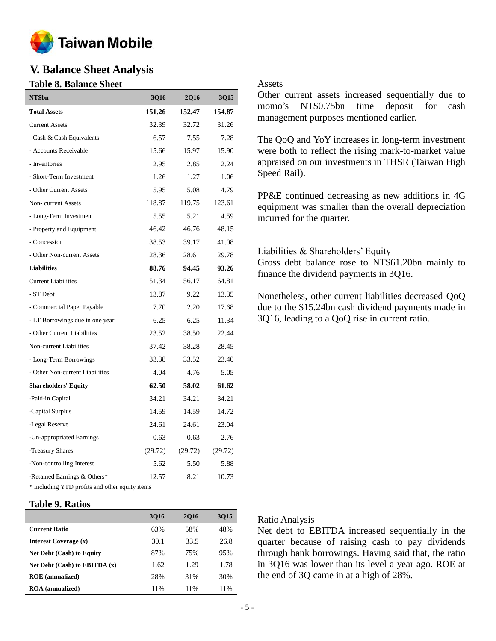

# **V. Balance Sheet Analysis**

## **Table 8. Balance Sheet**

| NT\$bn                          | 3Q16    | <b>2Q16</b> | 3Q15    |
|---------------------------------|---------|-------------|---------|
| <b>Total Assets</b>             | 151.26  | 152.47      | 154.87  |
| <b>Current Assets</b>           | 32.39   | 32.72       | 31.26   |
| - Cash & Cash Equivalents       | 6.57    | 7.55        | 7.28    |
| - Accounts Receivable           | 15.66   | 15.97       | 15.90   |
| - Inventories                   | 2.95    | 2.85        | 2.24    |
| - Short-Term Investment         | 1.26    | 1.27        | 1.06    |
| - Other Current Assets          | 5.95    | 5.08        | 4.79    |
| Non-current Assets              | 118.87  | 119.75      | 123.61  |
| - Long-Term Investment          | 5.55    | 5.21        | 4.59    |
| - Property and Equipment        | 46.42   | 46.76       | 48.15   |
| - Concession                    | 38.53   | 39.17       | 41.08   |
| - Other Non-current Assets      | 28.36   | 28.61       | 29.78   |
| <b>Liabilities</b>              | 88.76   | 94.45       | 93.26   |
| <b>Current Liabilities</b>      | 51.34   | 56.17       | 64.81   |
| - ST Debt                       | 13.87   | 9.22        | 13.35   |
| - Commercial Paper Payable      | 7.70    | 2.20        | 17.68   |
| - LT Borrowings due in one year | 6.25    | 6.25        | 11.34   |
| - Other Current Liabilities     | 23.52   | 38.50       | 22.44   |
| Non-current Liabilities         | 37.42   | 38.28       | 28.45   |
| - Long-Term Borrowings          | 33.38   | 33.52       | 23.40   |
| - Other Non-current Liabilities | 4.04    | 4.76        | 5.05    |
| <b>Shareholders' Equity</b>     | 62.50   | 58.02       | 61.62   |
| -Paid-in Capital                | 34.21   | 34.21       | 34.21   |
| -Capital Surplus                | 14.59   | 14.59       | 14.72   |
| -Legal Reserve                  | 24.61   | 24.61       | 23.04   |
| -Un-appropriated Earnings       | 0.63    | 0.63        | 2.76    |
| -Treasury Shares                | (29.72) | (29.72)     | (29.72) |
| -Non-controlling Interest       | 5.62    | 5.50        | 5.88    |
| -Retained Earnings & Others*    | 12.57   | 8.21        | 10.73   |

\* Including YTD profits and other equity items

## **Table 9. Ratios**

|                                   | 3016 | <b>2016</b> | 3015 |
|-----------------------------------|------|-------------|------|
| <b>Current Ratio</b>              | 63%  | 58%         | 48%  |
| Interest Coverage (x)             | 30.1 | 33.5        | 26.8 |
| <b>Net Debt (Cash) to Equity</b>  | 87%  | 75%         | 95%  |
| Net Debt $(Cash)$ to EBITDA $(x)$ | 1.62 | 1.29        | 1.78 |
| <b>ROE</b> (annualized)           | 28%  | 31%         | 30%  |
| <b>ROA</b> (annualized)           | 11%  | 11%         | 11%  |

### Assets

Other current assets increased sequentially due to momo's NT\$0.75bn time deposit for cash management purposes mentioned earlier.

The QoQ and YoY increases in long-term investment were both to reflect the rising mark-to-market value appraised on our investments in THSR (Taiwan High Speed Rail).

PP&E continued decreasing as new additions in 4G equipment was smaller than the overall depreciation incurred for the quarter.

### Liabilities & Shareholders' Equity

Gross debt balance rose to NT\$61.20bn mainly to finance the dividend payments in 3Q16.

Nonetheless, other current liabilities decreased QoQ due to the \$15.24bn cash dividend payments made in 3Q16, leading to a QoQ rise in current ratio.

### Ratio Analysis

Net debt to EBITDA increased sequentially in the quarter because of raising cash to pay dividends through bank borrowings. Having said that, the ratio in 3Q16 was lower than its level a year ago. ROE at the end of 3Q came in at a high of 28%.